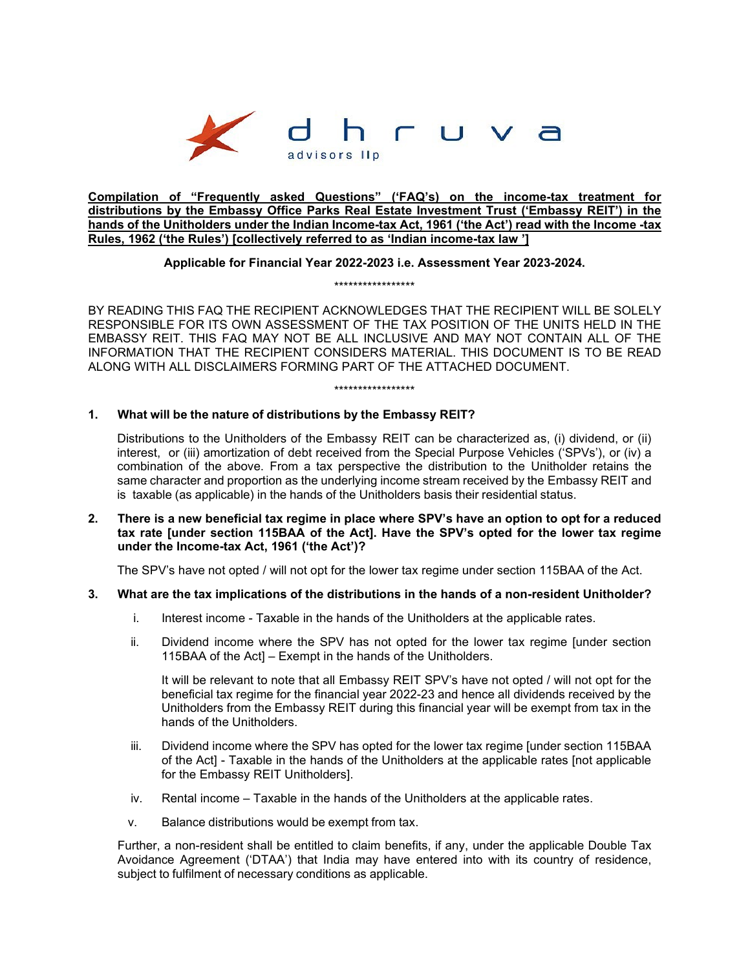

**Compilation of "Frequently asked Questions" ('FAQ's) on the income-tax treatment for distributions by the Embassy Office Parks Real Estate Investment Trust ('Embassy REIT') in the hands of the Unitholders under the Indian Income-tax Act, 1961 ('the Act') read with the Income -tax Rules, 1962 ('the Rules') [collectively referred to as 'Indian income-tax law ']** 

# **Applicable for Financial Year 2022-2023 i.e. Assessment Year 2023-2024.**  \*\*\*\*\*\*\*\*\*\*\*\*\*\*\*\*\*

\*\*\*\*\*\*\*\*\*\*\*\*\*\*\*\*\*

BY READING THIS FAQ THE RECIPIENT ACKNOWLEDGES THAT THE RECIPIENT WILL BE SOLELY RESPONSIBLE FOR ITS OWN ASSESSMENT OF THE TAX POSITION OF THE UNITS HELD IN THE EMBASSY REIT. THIS FAQ MAY NOT BE ALL INCLUSIVE AND MAY NOT CONTAIN ALL OF THE INFORMATION THAT THE RECIPIENT CONSIDERS MATERIAL. THIS DOCUMENT IS TO BE READ ALONG WITH ALL DISCLAIMERS FORMING PART OF THE ATTACHED DOCUMENT.

# **1. What will be the nature of distributions by the Embassy REIT?**

Distributions to the Unitholders of the Embassy REIT can be characterized as, (i) dividend, or (ii) interest, or (iii) amortization of debt received from the Special Purpose Vehicles ('SPVs'), or (iv) a combination of the above. From a tax perspective the distribution to the Unitholder retains the same character and proportion as the underlying income stream received by the Embassy REIT and is taxable (as applicable) in the hands of the Unitholders basis their residential status.

**2. There is a new beneficial tax regime in place where SPV's have an option to opt for a reduced tax rate [under section 115BAA of the Act]. Have the SPV's opted for the lower tax regime under the Income-tax Act, 1961 ('the Act')?**

The SPV's have not opted / will not opt for the lower tax regime under section 115BAA of the Act.

#### **3. What are the tax implications of the distributions in the hands of a non-resident Unitholder?**

- i. Interest income Taxable in the hands of the Unitholders at the applicable rates.
- ii. Dividend income where the SPV has not opted for the lower tax regime [under section 115BAA of the ActI – Exempt in the hands of the Unitholders.

It will be relevant to note that all Embassy REIT SPV's have not opted / will not opt for the beneficial tax regime for the financial year 2022-23 and hence all dividends received by the Unitholders from the Embassy REIT during this financial year will be exempt from tax in the hands of the Unitholders.

- iii. Dividend income where the SPV has opted for the lower tax regime [under section 115BAA of the Act] - Taxable in the hands of the Unitholders at the applicable rates [not applicable for the Embassy REIT Unitholders].
- iv. Rental income Taxable in the hands of the Unitholders at the applicable rates.
- v. Balance distributions would be exempt from tax.

Further, a non-resident shall be entitled to claim benefits, if any, under the applicable Double Tax Avoidance Agreement ('DTAA') that India may have entered into with its country of residence, subject to fulfilment of necessary conditions as applicable.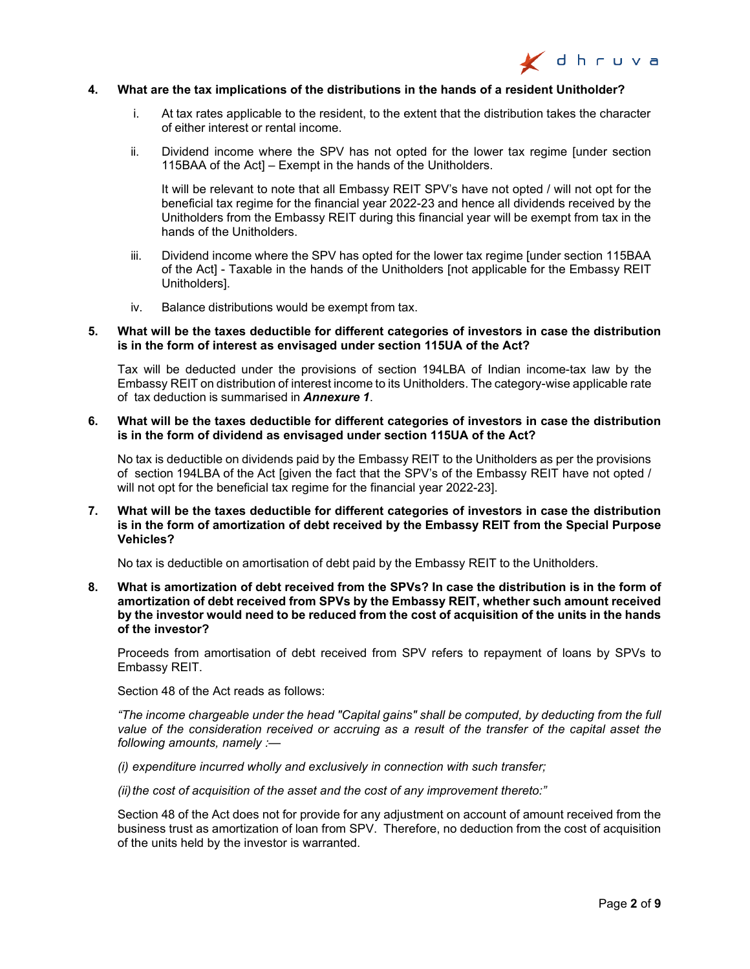

#### **4. What are the tax implications of the distributions in the hands of a resident Unitholder?**

- i. At tax rates applicable to the resident, to the extent that the distribution takes the character of either interest or rental income.
- ii. Dividend income where the SPV has not opted for the lower tax regime [under section 115BAA of the Act] – Exempt in the hands of the Unitholders.

It will be relevant to note that all Embassy REIT SPV's have not opted / will not opt for the beneficial tax regime for the financial year 2022-23 and hence all dividends received by the Unitholders from the Embassy REIT during this financial year will be exempt from tax in the hands of the Unitholders.

- iii. Dividend income where the SPV has opted for the lower tax regime [under section 115BAA of the Act] - Taxable in the hands of the Unitholders [not applicable for the Embassy REIT Unitholders].
- iv. Balance distributions would be exempt from tax.

#### **5. What will be the taxes deductible for different categories of investors in case the distribution is in the form of interest as envisaged under section 115UA of the Act?**

Tax will be deducted under the provisions of section 194LBA of Indian income-tax law by the Embassy REIT on distribution of interest income to its Unitholders. The category-wise applicable rate of tax deduction is summarised in *Annexure 1*.

**6. What will be the taxes deductible for different categories of investors in case the distribution is in the form of dividend as envisaged under section 115UA of the Act?**

No tax is deductible on dividends paid by the Embassy REIT to the Unitholders as per the provisions of section 194LBA of the Act [given the fact that the SPV's of the Embassy REIT have not opted / will not opt for the beneficial tax regime for the financial year 2022-23].

**7. What will be the taxes deductible for different categories of investors in case the distribution is in the form of amortization of debt received by the Embassy REIT from the Special Purpose Vehicles?**

No tax is deductible on amortisation of debt paid by the Embassy REIT to the Unitholders.

**8. What is amortization of debt received from the SPVs? In case the distribution is in the form of amortization of debt received from SPVs by the Embassy REIT, whether such amount received by the investor would need to be reduced from the cost of acquisition of the units in the hands of the investor?**

Proceeds from amortisation of debt received from SPV refers to repayment of loans by SPVs to Embassy REIT.

Section 48 of the Act reads as follows:

*"The income chargeable under the head "Capital gains" shall be computed, by deducting from the full value of the consideration received or accruing as a result of the transfer of the capital asset the following amounts, namely :—*

*(i) expenditure incurred wholly and exclusively in connection with such transfer;*

*(ii)the cost of acquisition of the asset and the cost of any improvement thereto:"*

Section 48 of the Act does not for provide for any adjustment on account of amount received from the business trust as amortization of loan from SPV. Therefore, no deduction from the cost of acquisition of the units held by the investor is warranted.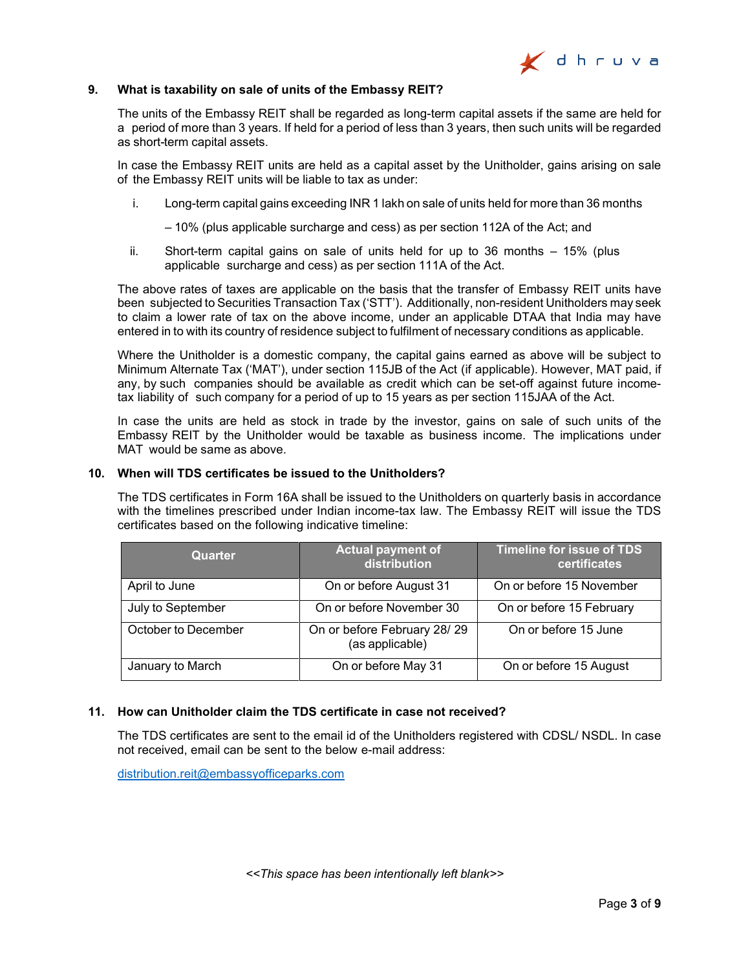

#### **9. What is taxability on sale of units of the Embassy REIT?**

The units of the Embassy REIT shall be regarded as long-term capital assets if the same are held for a period of more than 3 years. If held for a period of less than 3 years, then such units will be regarded as short-term capital assets.

In case the Embassy REIT units are held as a capital asset by the Unitholder, gains arising on sale of the Embassy REIT units will be liable to tax as under:

i. Long-term capital gains exceeding INR 1 lakh on sale of units held for more than 36 months

– 10% (plus applicable surcharge and cess) as per section 112A of the Act; and

ii. Short-term capital gains on sale of units held for up to 36 months – 15% (plus applicable surcharge and cess) as per section 111A of the Act.

The above rates of taxes are applicable on the basis that the transfer of Embassy REIT units have been subjected to Securities Transaction Tax ('STT'). Additionally, non-resident Unitholders may seek to claim a lower rate of tax on the above income, under an applicable DTAA that India may have entered in to with its country of residence subject to fulfilment of necessary conditions as applicable.

Where the Unitholder is a domestic company, the capital gains earned as above will be subject to Minimum Alternate Tax ('MAT'), under section 115JB of the Act (if applicable). However, MAT paid, if any, by such companies should be available as credit which can be set-off against future incometax liability of such company for a period of up to 15 years as per section 115JAA of the Act.

In case the units are held as stock in trade by the investor, gains on sale of such units of the Embassy REIT by the Unitholder would be taxable as business income. The implications under MAT would be same as above.

## **10. When will TDS certificates be issued to the Unitholders?**

The TDS certificates in Form 16A shall be issued to the Unitholders on quarterly basis in accordance with the timelines prescribed under Indian income-tax law. The Embassy REIT will issue the TDS certificates based on the following indicative timeline:

| <b>Quarter</b>      | <b>Actual payment of</b><br>distribution       | <b>Timeline for issue of TDS</b><br>certificates |
|---------------------|------------------------------------------------|--------------------------------------------------|
| April to June       | On or before August 31                         | On or before 15 November                         |
| July to September   | On or before November 30                       | On or before 15 February                         |
| October to December | On or before February 28/29<br>(as applicable) | On or before 15 June                             |
| January to March    | On or before May 31                            | On or before 15 August                           |

## **11. How can Unitholder claim the TDS certificate in case not received?**

The TDS certificates are sent to the email id of the Unitholders registered with CDSL/ NSDL. In case not received, email can be sent to the below e-mail address:

[distribution.reit@embassyofficeparks.com](mailto:distribution.reit@embassyofficeparks.com)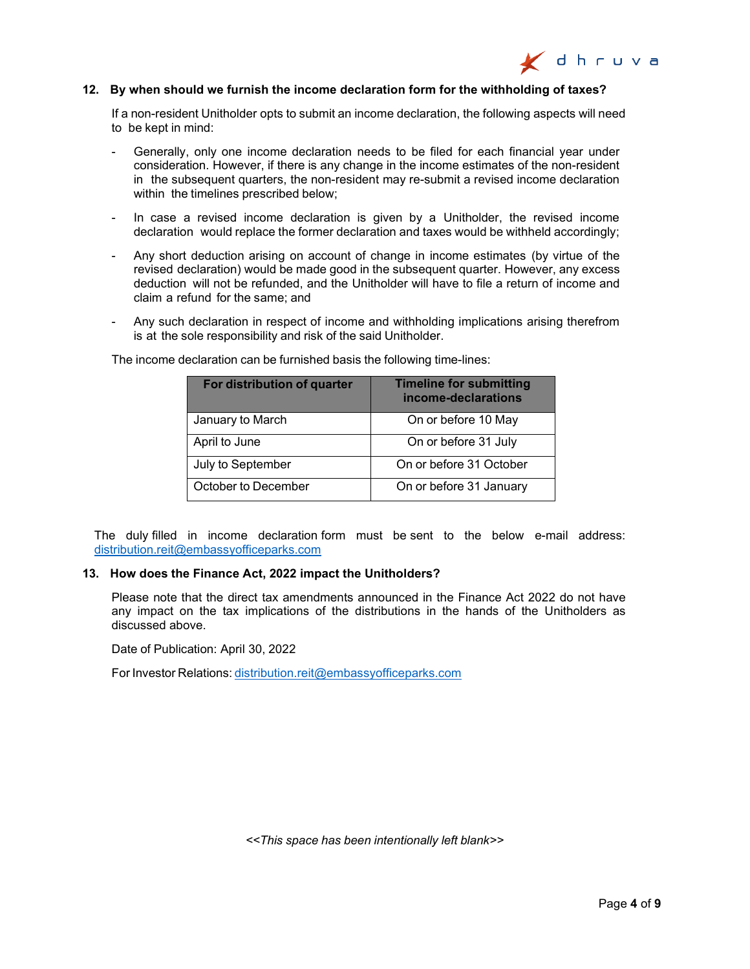

#### **12. By when should we furnish the income declaration form for the withholding of taxes?**

If a non-resident Unitholder opts to submit an income declaration, the following aspects will need to be kept in mind:

- Generally, only one income declaration needs to be filed for each financial year under consideration. However, if there is any change in the income estimates of the non-resident in the subsequent quarters, the non-resident may re-submit a revised income declaration within the timelines prescribed below:
- In case a revised income declaration is given by a Unitholder, the revised income declaration would replace the former declaration and taxes would be withheld accordingly;
- Any short deduction arising on account of change in income estimates (by virtue of the revised declaration) would be made good in the subsequent quarter. However, any excess deduction will not be refunded, and the Unitholder will have to file a return of income and claim a refund for the same; and
- Any such declaration in respect of income and withholding implications arising therefrom is at the sole responsibility and risk of the said Unitholder.

| For distribution of quarter | <b>Timeline for submitting</b><br>income-declarations |
|-----------------------------|-------------------------------------------------------|
| January to March            | On or before 10 May                                   |
| April to June               | On or before 31 July                                  |
| July to September           | On or before 31 October                               |
| October to December         | On or before 31 January                               |

The income declaration can be furnished basis the following time-lines:

The duly filled in income declaration form must be sent to the below e-mail address: [distribution.reit@embassyofficeparks.com](mailto:distribution.reit@embassyofficeparks.com)

#### **13. How does the Finance Act, 2022 impact the Unitholders?**

Please note that the direct tax amendments announced in the Finance Act 2022 do not have any impact on the tax implications of the distributions in the hands of the Unitholders as discussed above.

Date of Publication: April 30, 2022

For Investor Relations: [distribution.reit@embassyofficeparks.com](mailto:distribution.reit@embassyofficeparks.com)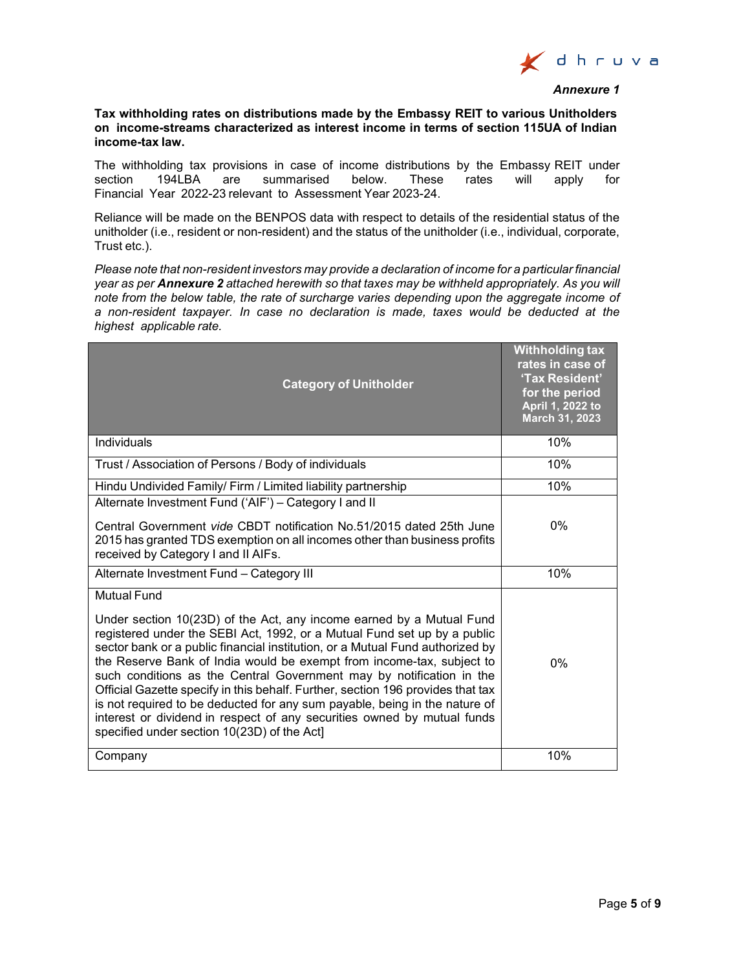

#### *Annexure 1*

### **Tax withholding rates on distributions made by the Embassy REIT to various Unitholders on income-streams characterized as interest income in terms of section 115UA of Indian income-tax law.**

The withholding tax provisions in case of income distributions by the Embassy REIT under<br>section 194LBA are summarised below. These rates will apply for summarised below. These rates will apply for Financial Year 2022-23 relevant to Assessment Year 2023-24.

Reliance will be made on the BENPOS data with respect to details of the residential status of the unitholder (i.e., resident or non-resident) and the status of the unitholder (i.e., individual, corporate, Trust etc.).

*Please note that non-resident investors may provide a declaration of income for a particular financial year as per Annexure 2 attached herewith so that taxes may be withheld appropriately. As you will note from the below table, the rate of surcharge varies depending upon the aggregate income of a non-resident taxpayer. In case no declaration is made, taxes would be deducted at the highest applicable rate.*

| <b>Category of Unitholder</b>                                                                                                                                                                                                                                                                                                                                                                                                                                                                                                                                                                                                                                                                | <b>Withholding tax</b><br>rates in case of<br>'Tax Resident'<br>for the period<br>April 1, 2022 to<br>March 31, 2023 |
|----------------------------------------------------------------------------------------------------------------------------------------------------------------------------------------------------------------------------------------------------------------------------------------------------------------------------------------------------------------------------------------------------------------------------------------------------------------------------------------------------------------------------------------------------------------------------------------------------------------------------------------------------------------------------------------------|----------------------------------------------------------------------------------------------------------------------|
| Individuals                                                                                                                                                                                                                                                                                                                                                                                                                                                                                                                                                                                                                                                                                  | 10%                                                                                                                  |
| Trust / Association of Persons / Body of individuals                                                                                                                                                                                                                                                                                                                                                                                                                                                                                                                                                                                                                                         | 10%                                                                                                                  |
| Hindu Undivided Family/ Firm / Limited liability partnership                                                                                                                                                                                                                                                                                                                                                                                                                                                                                                                                                                                                                                 | 10%                                                                                                                  |
| Alternate Investment Fund ('AIF') - Category I and II<br>Central Government vide CBDT notification No.51/2015 dated 25th June<br>2015 has granted TDS exemption on all incomes other than business profits<br>received by Category I and II AIFs.                                                                                                                                                                                                                                                                                                                                                                                                                                            | $0\%$                                                                                                                |
| Alternate Investment Fund - Category III                                                                                                                                                                                                                                                                                                                                                                                                                                                                                                                                                                                                                                                     | 10%                                                                                                                  |
| Mutual Fund<br>Under section 10(23D) of the Act, any income earned by a Mutual Fund<br>registered under the SEBI Act, 1992, or a Mutual Fund set up by a public<br>sector bank or a public financial institution, or a Mutual Fund authorized by<br>the Reserve Bank of India would be exempt from income-tax, subject to<br>such conditions as the Central Government may by notification in the<br>Official Gazette specify in this behalf. Further, section 196 provides that tax<br>is not required to be deducted for any sum payable, being in the nature of<br>interest or dividend in respect of any securities owned by mutual funds<br>specified under section 10(23D) of the Act] | $0\%$                                                                                                                |
| Company                                                                                                                                                                                                                                                                                                                                                                                                                                                                                                                                                                                                                                                                                      | 10%                                                                                                                  |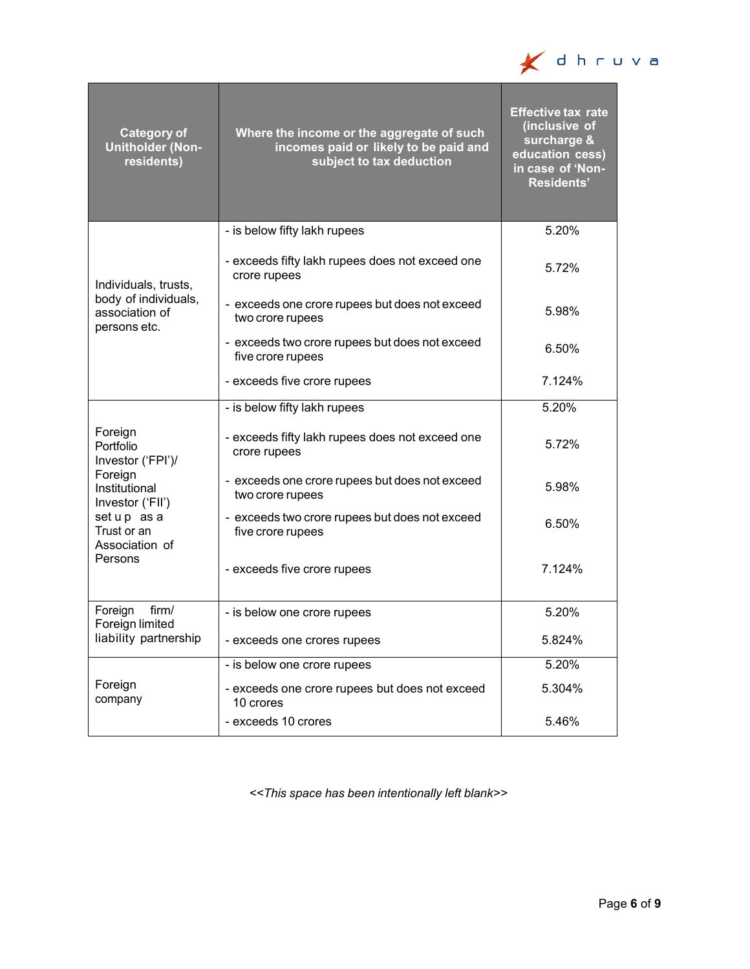

| <b>Category of</b><br><b>Unitholder (Non-</b><br>residents)                                                                                         | Where the income or the aggregate of such<br>incomes paid or likely to be paid and<br>subject to tax deduction | <b>Effective tax rate</b><br>(inclusive of<br>surcharge &<br>education cess)<br>in case of 'Non-<br><b>Residents'</b> |
|-----------------------------------------------------------------------------------------------------------------------------------------------------|----------------------------------------------------------------------------------------------------------------|-----------------------------------------------------------------------------------------------------------------------|
|                                                                                                                                                     | - is below fifty lakh rupees                                                                                   | 5.20%                                                                                                                 |
| Individuals, trusts,<br>body of individuals,<br>association of<br>persons etc.                                                                      | - exceeds fifty lakh rupees does not exceed one<br>crore rupees                                                | 5.72%                                                                                                                 |
|                                                                                                                                                     | - exceeds one crore rupees but does not exceed<br>two crore rupees                                             | 5.98%                                                                                                                 |
|                                                                                                                                                     | - exceeds two crore rupees but does not exceed<br>five crore rupees                                            | 6.50%                                                                                                                 |
|                                                                                                                                                     | - exceeds five crore rupees                                                                                    | 7.124%                                                                                                                |
| Foreign<br>Portfolio<br>Investor ('FPI')/<br>Foreign<br>Institutional<br>Investor ('FII')<br>setup as a<br>Trust or an<br>Association of<br>Persons | - is below fifty lakh rupees                                                                                   | 5.20%                                                                                                                 |
|                                                                                                                                                     | - exceeds fifty lakh rupees does not exceed one<br>crore rupees                                                | 5.72%                                                                                                                 |
|                                                                                                                                                     | - exceeds one crore rupees but does not exceed<br>two crore rupees                                             | 5.98%                                                                                                                 |
|                                                                                                                                                     | - exceeds two crore rupees but does not exceed<br>five crore rupees                                            | 6.50%                                                                                                                 |
|                                                                                                                                                     | - exceeds five crore rupees                                                                                    | 7.124%                                                                                                                |
| Foreign<br>firm/                                                                                                                                    | - is below one crore rupees                                                                                    | 5.20%                                                                                                                 |
| Foreign limited<br>liability partnership                                                                                                            | - exceeds one crores rupees                                                                                    | 5.824%                                                                                                                |
|                                                                                                                                                     | - is below one crore rupees                                                                                    | 5.20%                                                                                                                 |
| Foreign<br>company                                                                                                                                  | - exceeds one crore rupees but does not exceed<br>10 crores                                                    | 5.304%                                                                                                                |
|                                                                                                                                                     | - exceeds 10 crores                                                                                            | 5.46%                                                                                                                 |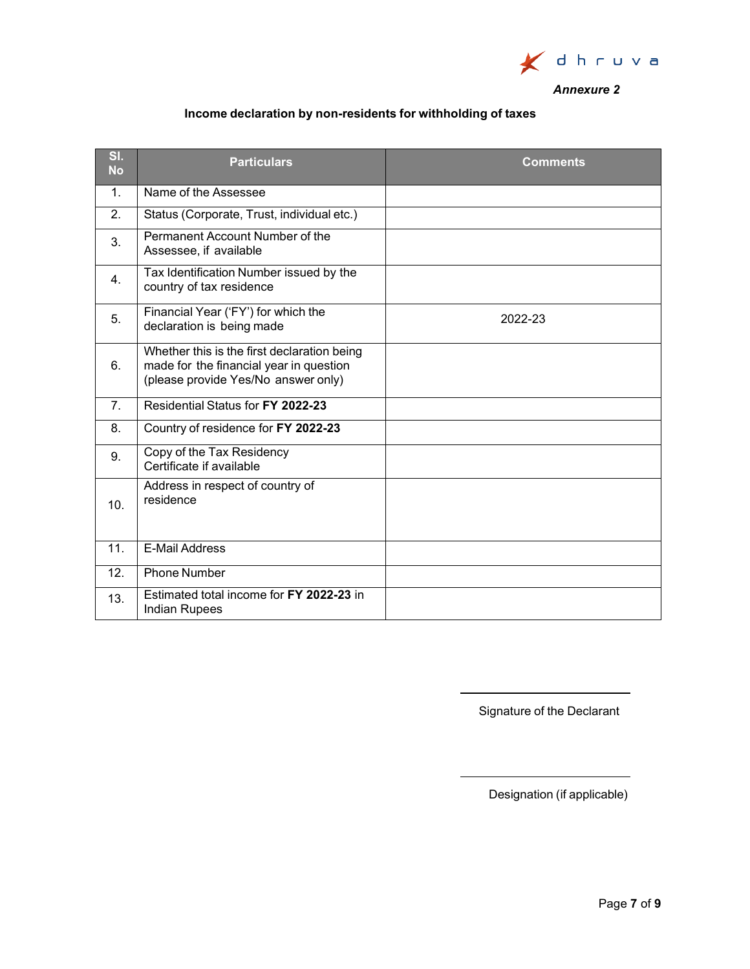

# *Annexure 2*

# **Income declaration by non-residents for withholding of taxes**

| SI.<br><b>No</b> | <b>Particulars</b>                                                                                                            | <b>Comments</b> |
|------------------|-------------------------------------------------------------------------------------------------------------------------------|-----------------|
| 1 <sub>1</sub>   | Name of the Assessee                                                                                                          |                 |
| 2.               | Status (Corporate, Trust, individual etc.)                                                                                    |                 |
| 3.               | Permanent Account Number of the<br>Assessee, if available                                                                     |                 |
| 4.               | Tax Identification Number issued by the<br>country of tax residence                                                           |                 |
| 5.               | Financial Year ('FY') for which the<br>declaration is being made                                                              | 2022-23         |
| 6.               | Whether this is the first declaration being<br>made for the financial year in question<br>(please provide Yes/No answer only) |                 |
| 7 <sub>1</sub>   | Residential Status for FY 2022-23                                                                                             |                 |
| 8.               | Country of residence for FY 2022-23                                                                                           |                 |
| 9.               | Copy of the Tax Residency<br>Certificate if available                                                                         |                 |
| 10.              | Address in respect of country of<br>residence                                                                                 |                 |
| 11.              | <b>E-Mail Address</b>                                                                                                         |                 |
| 12.              | <b>Phone Number</b>                                                                                                           |                 |
| 13.              | Estimated total income for FY 2022-23 in<br><b>Indian Rupees</b>                                                              |                 |

Signature of the Declarant

Designation (if applicable)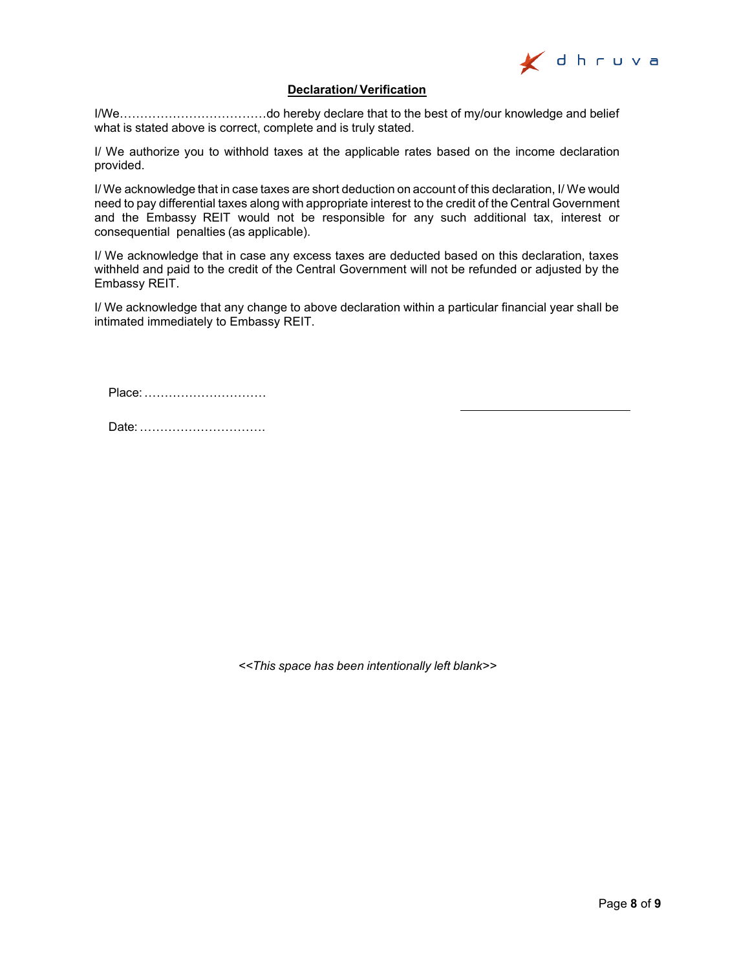

# **Declaration/ Verification**

I/We………………………………do hereby declare that to the best of my/our knowledge and belief what is stated above is correct, complete and is truly stated.

I/ We authorize you to withhold taxes at the applicable rates based on the income declaration provided.

I/ We acknowledge that in case taxes are short deduction on account of this declaration, I/ We would need to pay differential taxes along with appropriate interest to the credit of the Central Government and the Embassy REIT would not be responsible for any such additional tax, interest or consequential penalties (as applicable).

I/ We acknowledge that in case any excess taxes are deducted based on this declaration, taxes withheld and paid to the credit of the Central Government will not be refunded or adjusted by the Embassy REIT.

I/ We acknowledge that any change to above declaration within a particular financial year shall be intimated immediately to Embassy REIT.

Place:…………………………

Date:………………………….